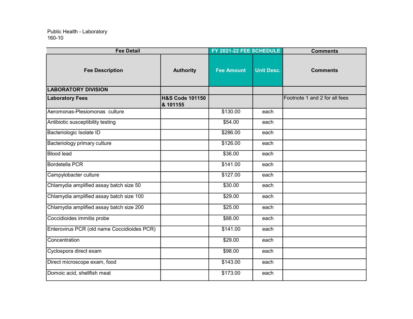| <b>Fee Detail</b>                           |                                        | FY 2021-22 FEE SCHEDULE |                   | <b>Comments</b>               |
|---------------------------------------------|----------------------------------------|-------------------------|-------------------|-------------------------------|
| <b>Fee Description</b>                      | <b>Authority</b>                       | <b>Fee Amount</b>       | <b>Unit Desc.</b> | <b>Comments</b>               |
| <b>LABORATORY DIVISION</b>                  |                                        |                         |                   |                               |
| <b>Laboratory Fees</b>                      | <b>H&amp;S Code 101150</b><br>& 101155 |                         |                   | Footnote 1 and 2 for all fees |
| Aeromonas-Plesiomonas culture               |                                        | \$130.00                | each              |                               |
| Antibiotic susceptibility testing           |                                        | \$54.00                 | each              |                               |
| Bacteriologic Isolate ID                    |                                        | \$286.00                | each              |                               |
| Bacteriology primary culture                |                                        | \$126.00                | each              |                               |
| <b>Blood lead</b>                           |                                        | \$36.00                 | each              |                               |
| Bordetella PCR                              |                                        | \$141.00                | each              |                               |
| Campylobacter culture                       |                                        | \$127.00                | each              |                               |
| Chlamydia amplified assay batch size 50     |                                        | \$30.00                 | each              |                               |
| Chlamydia amplified assay batch size 100    |                                        | \$29.00                 | each              |                               |
| Chlamydia amplified assay batch size 200    |                                        | \$25.00                 | each              |                               |
| Coccidioides immitis probe                  |                                        | \$88.00                 | each              |                               |
| Enterovirus PCR (old name Coccidioides PCR) |                                        | \$141.00                | each              |                               |
| Concentration                               |                                        | \$29.00                 | each              |                               |
| Cyclospora direct exam                      |                                        | \$98.00                 | each              |                               |
| Direct microscope exam, food                |                                        | \$143.00                | each              |                               |
| Domoic acid, shellfish meat                 |                                        | \$173.00                | each              |                               |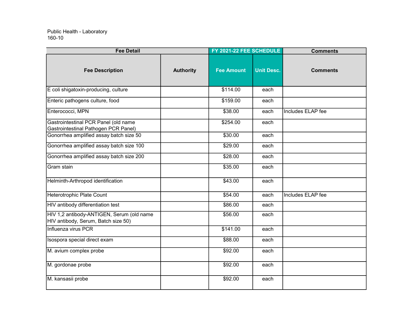| <b>Fee Detail</b>                                                                |                  | FY 2021-22 FEE SCHEDULE |                   | <b>Comments</b>          |
|----------------------------------------------------------------------------------|------------------|-------------------------|-------------------|--------------------------|
| <b>Fee Description</b>                                                           | <b>Authority</b> | <b>Fee Amount</b>       | <b>Unit Desc.</b> | <b>Comments</b>          |
| E coli shigatoxin-producing, culture                                             |                  | \$114.00                | each              |                          |
| Enteric pathogens culture, food                                                  |                  | \$159.00                | each              |                          |
| Enterococci, MPN                                                                 |                  | \$38.00                 | each              | Includes ELAP fee        |
| Gastrointestinal PCR Panel (old name<br>Gastrointestinal Pathogen PCR Panel)     |                  | \$254.00                | each              |                          |
| Gonorrhea amplified assay batch size 50                                          |                  | \$30.00                 | each              |                          |
| Gonorrhea amplified assay batch size 100                                         |                  | \$29.00                 | each              |                          |
| Gonorrhea amplified assay batch size 200                                         |                  | \$28.00                 | each              |                          |
| Gram stain                                                                       |                  | \$35.00                 | each              |                          |
| Helminth-Arthropod identification                                                |                  | \$43.00                 | each              |                          |
| Heterotrophic Plate Count                                                        |                  | \$54.00                 | each              | <b>Includes ELAP</b> fee |
| <b>HIV</b> antibody differentiation test                                         |                  | \$86.00                 | each              |                          |
| HIV 1,2 antibody-ANTIGEN, Serum (old name<br>HIV antibody, Serum, Batch size 50) |                  | \$56.00                 | each              |                          |
| Influenza virus PCR                                                              |                  | \$141.00                | each              |                          |
| Isospora special direct exam                                                     |                  | \$88.00                 | each              |                          |
| M. avium complex probe                                                           |                  | \$92.00                 | each              |                          |
| M. gordonae probe                                                                |                  | \$92.00                 | each              |                          |
| M. kansasii probe                                                                |                  | \$92.00                 | each              |                          |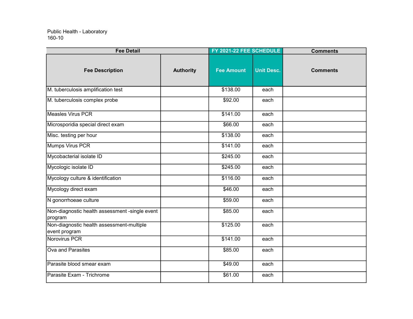| <b>Fee Detail</b>                                          |                  | FY 2021-22 FEE SCHEDULE |                   | <b>Comments</b> |
|------------------------------------------------------------|------------------|-------------------------|-------------------|-----------------|
| <b>Fee Description</b>                                     | <b>Authority</b> | <b>Fee Amount</b>       | <b>Unit Desc.</b> | <b>Comments</b> |
| M. tuberculosis amplification test                         |                  | \$138.00                | each              |                 |
| M. tuberculosis complex probe                              |                  | \$92.00                 | each              |                 |
| Measles Virus PCR                                          |                  | \$141.00                | each              |                 |
| Microsporidia special direct exam                          |                  | \$66.00                 | each              |                 |
| Misc. testing per hour                                     |                  | \$138.00                | each              |                 |
| Mumps Virus PCR                                            |                  | \$141.00                | each              |                 |
| Mycobacterial isolate ID                                   |                  | \$245.00                | each              |                 |
| Mycologic isolate ID                                       |                  | \$245.00                | each              |                 |
| Mycology culture & identification                          |                  | \$116.00                | each              |                 |
| Mycology direct exam                                       |                  | \$46.00                 | each              |                 |
| N gonorrhoeae culture                                      |                  | \$59.00                 | each              |                 |
| Non-diagnostic health assessment -single event<br>program  |                  | \$85.00                 | each              |                 |
| Non-diagnostic health assessment-multiple<br>event program |                  | \$125.00                | each              |                 |
| Norovirus PCR                                              |                  | \$141.00                | each              |                 |
| Ova and Parasites                                          |                  | \$85.00                 | each              |                 |
| Parasite blood smear exam                                  |                  | \$49.00                 | each              |                 |
| Parasite Exam - Trichrome                                  |                  | \$61.00                 | each              |                 |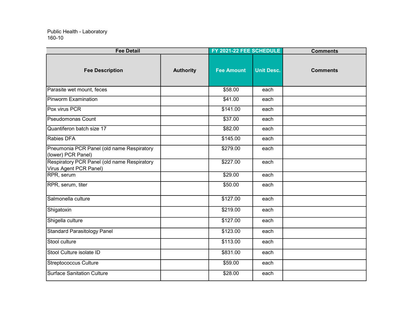| <b>Fee Detail</b>                                                     |                  | FY 2021-22 FEE SCHEDULE |                   | <b>Comments</b> |
|-----------------------------------------------------------------------|------------------|-------------------------|-------------------|-----------------|
| <b>Fee Description</b>                                                | <b>Authority</b> | <b>Fee Amount</b>       | <b>Unit Desc.</b> | <b>Comments</b> |
| Parasite wet mount, feces                                             |                  | \$58.00                 | each              |                 |
| <b>Pinworm Examination</b>                                            |                  | \$41.00                 | each              |                 |
| Pox virus PCR                                                         |                  | \$141.00                | each              |                 |
| <b>Pseudomonas Count</b>                                              |                  | \$37.00                 | each              |                 |
| Quantiferon batch size 17                                             |                  | \$82.00                 | each              |                 |
| <b>Rabies DFA</b>                                                     |                  | \$145.00                | each              |                 |
| Pneumonia PCR Panel (old name Respiratory<br>(lower) PCR Panel)       |                  | \$279.00                | each              |                 |
| Respiratory PCR Panel (old name Respiratory<br>Virus Agent PCR Panel) |                  | \$227.00                | each              |                 |
| RPR, serum                                                            |                  | \$29.00                 | each              |                 |
| RPR, serum, titer                                                     |                  | \$50.00                 | each              |                 |
| Salmonella culture                                                    |                  | \$127.00                | each              |                 |
| Shigatoxin                                                            |                  | \$219.00                | each              |                 |
| Shigella culture                                                      |                  | \$127.00                | each              |                 |
| <b>Standard Parasitology Panel</b>                                    |                  | \$123.00                | each              |                 |
| Stool culture                                                         |                  | \$113.00                | each              |                 |
| Stool Culture isolate ID                                              |                  | \$831.00                | each              |                 |
| <b>Streptococcus Culture</b>                                          |                  | \$59.00                 | each              |                 |
| <b>Surface Sanitation Culture</b>                                     |                  | \$28.00                 | each              |                 |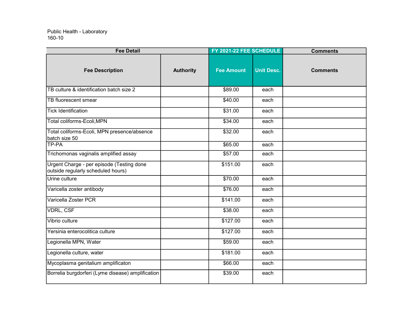| <b>Fee Detail</b>                                                               |                  | FY 2021-22 FEE SCHEDULE |                   | <b>Comments</b> |
|---------------------------------------------------------------------------------|------------------|-------------------------|-------------------|-----------------|
| <b>Fee Description</b>                                                          | <b>Authority</b> | <b>Fee Amount</b>       | <b>Unit Desc.</b> | <b>Comments</b> |
| TB culture & identification batch size 2                                        |                  | \$89.00                 | each              |                 |
| TB fluorescent smear                                                            |                  | \$40.00                 | each              |                 |
| <b>Tick Identification</b>                                                      |                  | \$31.00                 | each              |                 |
| Total coliforms-Ecoli, MPN                                                      |                  | \$34.00                 | each              |                 |
| Total coliforms-Ecoli, MPN presence/absence<br>batch size 50                    |                  | \$32.00                 | each              |                 |
| TP-PA                                                                           |                  | \$65.00                 | each              |                 |
| Trichomonas vaginalis amplified assay                                           |                  | \$57.00                 | each              |                 |
| Urgent Charge - per episode (Testing done<br>outside regularly scheduled hours) |                  | \$151.00                | each              |                 |
| Urine culture                                                                   |                  | \$70.00                 | each              |                 |
| Varicella zoster antibody                                                       |                  | \$76.00                 | each              |                 |
| Varicella Zoster PCR                                                            |                  | \$141.00                | each              |                 |
| <b>VDRL, CSF</b>                                                                |                  | \$38.00                 | each              |                 |
| Vibrio culture                                                                  |                  | \$127.00                | each              |                 |
| Yersinia enterocolitica culture                                                 |                  | \$127.00                | each              |                 |
| Legionella MPN, Water                                                           |                  | \$59.00                 | each              |                 |
| Legionella culture, water                                                       |                  | \$181.00                | each              |                 |
| Mycoplasma genitalium amplificaton                                              |                  | \$66.00                 | each              |                 |
| Borrelia burgdorferi (Lyme disease) amplification                               |                  | \$39.00                 | each              |                 |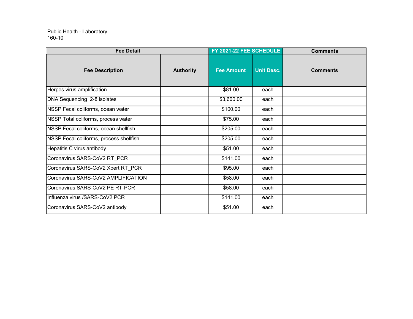| <b>Fee Detail</b>                       |                  | FY 2021-22 FEE SCHEDULE |                   | <b>Comments</b> |  |
|-----------------------------------------|------------------|-------------------------|-------------------|-----------------|--|
| <b>Fee Description</b>                  | <b>Authority</b> | <b>Fee Amount</b>       | <b>Unit Desc.</b> | <b>Comments</b> |  |
| Herpes virus amplification              |                  | \$81.00                 | each              |                 |  |
| DNA Sequencing 2-8 isolates             |                  | \$3,600.00              | each              |                 |  |
| NSSP Fecal coliforms, ocean water       |                  | \$100.00                | each              |                 |  |
| NSSP Total coliforms, process water     |                  | \$75.00                 | each              |                 |  |
| NSSP Fecal coliforms, ocean shellfish   |                  | \$205.00                | each              |                 |  |
| NSSP Fecal coliforms, process shellfish |                  | \$205.00                | each              |                 |  |
| Hepatitis C virus antibody              |                  | \$51.00                 | each              |                 |  |
| Coronavirus SARS-CoV2 RT_PCR            |                  | \$141.00                | each              |                 |  |
| Coronavirus SARS-CoV2 Xpert RT PCR      |                  | \$95.00                 | each              |                 |  |
| Coronavirus SARS-CoV2 AMPLIFICATION     |                  | \$58.00                 | each              |                 |  |
| Coronavirus SARS-CoV2 PE RT-PCR         |                  | \$58.00                 | each              |                 |  |
| Influenza virus / SARS-CoV2 PCR         |                  | \$141.00                | each              |                 |  |
| Coronavirus SARS-CoV2 antibody          |                  | \$51.00                 | each              |                 |  |